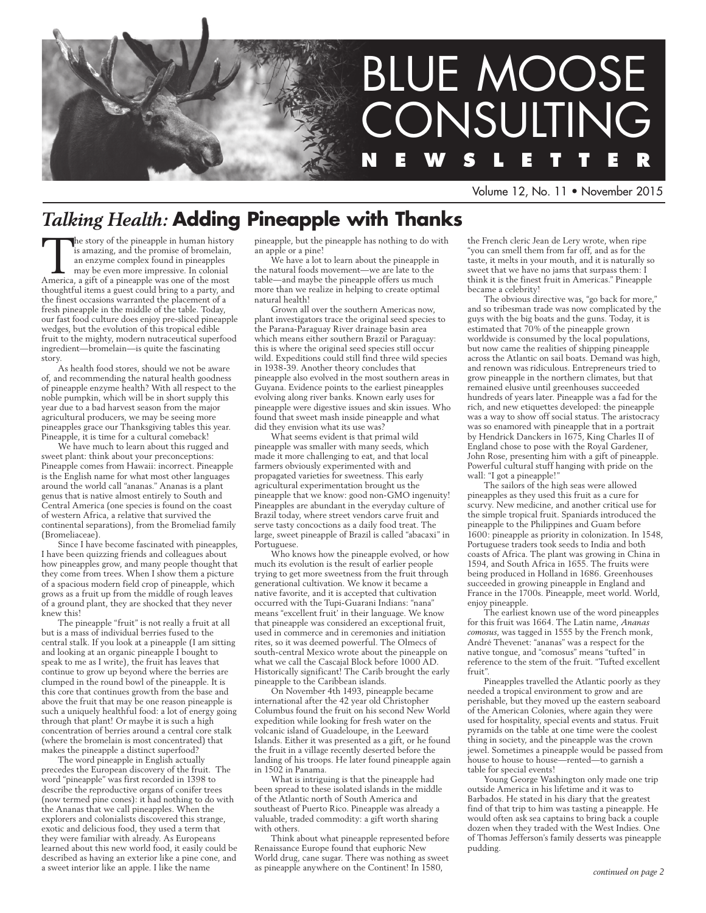

Volume 12, No. 11 • November 2015

## *Talking Health:* **Adding Pineapple with Thanks**

The story of the pineapple in human history<br>is amazing, and the promise of bromelain,<br>an enzyme complex found in pineapples<br>may be even more impressive. In colonial<br>America, a gift of a pineapple was one of the most is amazing, and the promise of bromelain, an enzyme complex found in pineapples may be even more impressive. In colonial America, a gift of a pineapple was one of the most thoughtful items a guest could bring to a party, and the finest occasions warranted the placement of a fresh pineapple in the middle of the table. Today, our fast food culture does enjoy pre-sliced pineapple wedges, but the evolution of this tropical edible fruit to the mighty, modern nutraceutical superfood ingredient—bromelain—is quite the fascinating story.

As health food stores, should we not be aware of, and recommending the natural health goodness of pineapple enzyme health? With all respect to the noble pumpkin, which will be in short supply this year due to a bad harvest season from the major agricultural producers, we may be seeing more pineapples grace our Thanksgiving tables this year. Pineapple, it is time for a cultural comeback!

We have much to learn about this rugged and sweet plant: think about your preconceptions: Pineapple comes from Hawaii: incorrect. Pineapple is the English name for what most other languages around the world call "ananas." Ananas is a plant genus that is native almost entirely to South and Central America (one species is found on the coast of western Africa, a relative that survived the continental separations), from the Bromeliad family (Bromeliaceae).

Since I have become fascinated with pineapples, I have been quizzing friends and colleagues about how pineapples grow, and many people thought that they come from trees. When I show them a picture of a spacious modern field crop of pineapple, which grows as a fruit up from the middle of rough leaves of a ground plant, they are shocked that they never knew this!

The pineapple "fruit" is not really a fruit at all but is a mass of individual berries fused to the central stalk. If you look at a pineapple (I am sitting and looking at an organic pineapple I bought to speak to me as I write), the fruit has leaves that continue to grow up beyond where the berries are clumped in the round bowl of the pineapple. It is this core that continues growth from the base and above the fruit that may be one reason pineapple is such a uniquely healthful food: a lot of energy going through that plant! Or maybe it is such a high concentration of berries around a central core stalk (where the bromelain is most concentrated) that makes the pineapple a distinct superfood?

The word pineapple in English actually precedes the European discovery of the fruit. The .<br>word "pineapple" was first recorded in 1398 to describe the reproductive organs of conifer trees (now termed pine cones): it had nothing to do with the Ananas that we call pineapples. When the explorers and colonialists discovered this strange, exotic and delicious food, they used a term that they were familiar with already. As Europeans learned about this new world food, it easily could be described as having an exterior like a pine cone, and a sweet interior like an apple. I like the name

pineapple, but the pineapple has nothing to do with an apple or a pine!

We have a lot to learn about the pineapple in the natural foods movement—we are late to the table—and maybe the pineapple offers us much more than we realize in helping to create optimal natural health!

Grown all over the southern Americas now, plant investigators trace the original seed species to the Parana-Paraguay River drainage basin area which means either southern Brazil or Paraguay: this is where the original seed species still occur wild. Expeditions could still find three wild species in 1938-39. Another theory concludes that pineapple also evolved in the most southern areas in Guyana. Evidence points to the earliest pineapples evolving along river banks. Known early uses for pineapple were digestive issues and skin issues. Who found that sweet mash inside pineapple and what did they envision what its use was?

What seems evident is that primal wild pineapple was smaller with many seeds, which made it more challenging to eat, and that local farmers obviously experimented with and propagated varieties for sweetness. This early agricultural experimentation brought us the pineapple that we know: good non-GMO ingenuity! Pineapples are abundant in the everyday culture of Brazil today, where street vendors carve fruit and serve tasty concoctions as a daily food treat. The large, sweet pineapple of Brazil is called "abacaxi" in Portuguese.

Who knows how the pineapple evolved, or how much its evolution is the result of earlier people trying to get more sweetness from the fruit through generational cultivation. We know it became a native favorite, and it is accepted that cultivation occurred with the Tupi-Guarani Indians: "nana" means "excellent fruit' in their language. We know that pineapple was considered an exceptional fruit, used in commerce and in ceremonies and initiation rites, so it was deemed powerful. The Olmecs of south-central Mexico wrote about the pineapple on what we call the Cascajal Block before 1000 AD. Historically significant! The Carib brought the early pineapple to the Caribbean islands.

On November 4th 1493, pineapple became international after the 42 year old Christopher Columbus found the fruit on his second New World expedition while looking for fresh water on the volcanic island of Guadeloupe, in the Leeward Islands. Either it was presented as a gift, or he found the fruit in a village recently deserted before the landing of his troops. He later found pineapple again in 1502 in Panama.

What is intriguing is that the pineapple had been spread to these isolated islands in the middle of the Atlantic north of South America and southeast of Puerto Rico. Pineapple was already a valuable, traded commodity: a gift worth sharing with others.

Think about what pineapple represented before Renaissance Europe found that euphoric New World drug, cane sugar. There was nothing as sweet as pineapple anywhere on the Continent! In 1580,

the French cleric Jean de Lery wrote, when ripe "you can smell them from far off, and as for the taste, it melts in your mouth, and it is naturally so sweet that we have no jams that surpass them: I think it is the finest fruit in Americas." Pineapple became a celebrity!

The obvious directive was, "go back for more," and so tribesman trade was now complicated by the guys with the big boats and the guns. Today, it is estimated that 70% of the pineapple grown worldwide is consumed by the local populations, but now came the realities of shipping pineapple across the Atlantic on sail boats. Demand was high, and renown was ridiculous. Entrepreneurs tried to grow pineapple in the northern climates, but that remained elusive until greenhouses succeeded hundreds of years later. Pineapple was a fad for the rich, and new etiquettes developed: the pineapple was a way to show off social status. The aristocracy was so enamored with pineapple that in a portrait by Hendrick Danckers in 1675, King Charles II of England chose to pose with the Royal Gardener, John Rose, presenting him with a gift of pineapple. Powerful cultural stuff hanging with pride on the wall: "I got a pineapple!"

The sailors of the high seas were allowed pineapples as they used this fruit as a cure for scurvy. New medicine, and another critical use for the simple tropical fruit. Spaniards introduced the pineapple to the Philippines and Guam before 1600: pineapple as priority in colonization. In 1548, Portuguese traders took seeds to India and both coasts of Africa. The plant was growing in China in 1594, and South Africa in 1655. The fruits were being produced in Holland in 1686. Greenhouses succeeded in growing pineapple in England and France in the 1700s. Pineapple, meet world. World, enjoy pineapple.

The earliest known use of the word pineapples for this fruit was 1664. The Latin name, *Ananas comosus*, was tagged in 1555 by the French monk, André Thevenet: "ananas" was a respect for the native tongue, and "comosus" means "tufted" in reference to the stem of the fruit. "Tufted excellent fruit".

Pineapples travelled the Atlantic poorly as they needed a tropical environment to grow and are perishable, but they moved up the eastern seaboard of the American Colonies, where again they were used for hospitality, special events and status. Fruit pyramids on the table at one time were the coolest thing in society, and the pineapple was the crown jewel. Sometimes a pineapple would be passed from house to house to house—rented—to garnish a table for special events!

Young George Washington only made one trip outside America in his lifetime and it was to Barbados. He stated in his diary that the greatest find of that trip to him was tasting a pineapple. He would often ask sea captains to bring back a couple dozen when they traded with the West Indies. One of Thomas Jefferson's family desserts was pineapple pudding.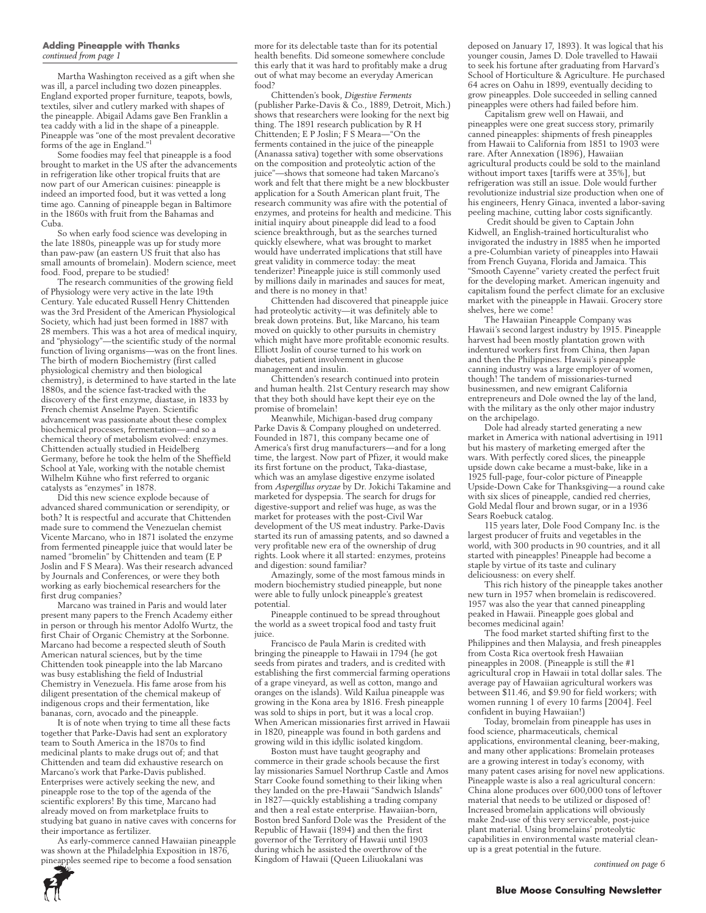#### **Adding Pineapple with Thanks** *continued from page 1*

Martha Washington received as a gift when she was ill, a parcel including two dozen pineapples. England exported proper furniture, teapots, bowls, textiles, silver and cutlery marked with shapes of the pineapple. Abigail Adams gave Ben Franklin a tea caddy with a lid in the shape of a pineapple. Pineapple was "one of the most prevalent decorative forms of the age in England."<sup>1</sup>

Some foodies may feel that pineapple is a food brought to market in the US after the advancements in refrigeration like other tropical fruits that are now part of our American cuisines: pineapple is indeed an imported food, but it was vetted a long time ago. Canning of pineapple began in Baltimore in the 1860s with fruit from the Bahamas and Cuba.

So when early food science was developing in the late 1880s, pineapple was up for study more than paw-paw (an eastern US fruit that also has small amounts of bromelain). Modern science, meet food. Food, prepare to be studied!

The research communities of the growing field of Physiology were very active in the late 19th Century. Yale educated Russell Henry Chittenden was the 3rd President of the American Physiological Society, which had just been formed in 1887 with 28 members. This was a hot area of medical inquiry, and "physiology"—the scientific study of the normal function of living organisms—was on the front lines. The birth of modern Biochemistry (first called physiological chemistry and then biological chemistry), is determined to have started in the late 1880s, and the science fast-tracked with the discovery of the first enzyme, diastase, in 1833 by French chemist Anselme Payen. Scientific advancement was passionate about these complex biochemical processes, fermentation—and so a chemical theory of metabolism evolved: enzymes. Chittenden actually studied in Heidelberg Germany, before he took the helm of the Sheffield School at Yale, working with the notable chemist Wilhelm Kühne who first referred to organic catalysts as "enzymes" in 1878.

Did this new science explode because of advanced shared communication or serendipity, or both? It is respectful and accurate that Chittenden made sure to commend the Venezuelan chemist Vicente Marcano, who in 1871 isolated the enzyme from fermented pineapple juice that would later be named "bromelin" by Chittenden and team (E P Joslin and F S Meara). Was their research advanced by Journals and Conferences, or were they both working as early biochemical researchers for the first drug companies?

Marcano was trained in Paris and would later present many papers to the French Academy either in person or through his mentor Adolfo Wurtz, the first Chair of Organic Chemistry at the Sorbonne. Marcano had become a respected sleuth of South American natural sciences, but by the time Chittenden took pineapple into the lab Marcano was busy establishing the field of Industrial Chemistry in Venezuela. His fame arose from his diligent presentation of the chemical makeup of indigenous crops and their fermentation, like bananas, corn, avocado and the pineapple.

It is of note when trying to time all these facts together that Parke-Davis had sent an exploratory team to South America in the 1870s to find medicinal plants to make drugs out of; and that Chittenden and team did exhaustive research on Marcano's work that Parke-Davis published. Enterprises were actively seeking the new, and pineapple rose to the top of the agenda of the scientific explorers! By this time, Marcano had already moved on from marketplace fruits to studying bat guano in native caves with concerns for their importance as fertilizer.

As early-commerce canned Hawaiian pineapple was shown at the Philadelphia Exposition in 1876, pineapples seemed ripe to become a food sensation

more for its delectable taste than for its potential health benefits. Did someone somewhere conclude this early that it was hard to profitably make a drug out of what may become an everyday American food?

Chittenden's book, *Digestive Ferments* (publisher Parke-Davis & Co., 1889, Detroit, Mich.) shows that researchers were looking for the next big thing. The 1891 research publication by R H Chittenden; E P Joslin; F S Meara—"On the ferments contained in the juice of the pineapple (Ananassa sativa) together with some observations on the composition and proteolytic action of the juice"—shows that someone had taken Marcano's work and felt that there might be a new blockbuster application for a South American plant fruit, The research community was afire with the potential of enzymes, and proteins for health and medicine. This initial inquiry about pineapple did lead to a food science breakthrough, but as the searches turned quickly elsewhere, what was brought to market would have underrated implications that still have great validity in commerce today: the meat tenderizer! Pineapple juice is still commonly used by millions daily in marinades and sauces for meat, and there is no money in that!

Chittenden had discovered that pineapple juice had proteolytic activity—it was definitely able to break down proteins. But, like Marcano, his team moved on quickly to other pursuits in chemistry which might have more profitable economic results. Elliott Joslin of course turned to his work on diabetes, patient involvement in glucose management and insulin.

Chittenden's research continued into protein and human health. 21st Century research may show that they both should have kept their eye on the promise of bromelain!

Meanwhile, Michigan-based drug company Parke Davis & Company ploughed on undeterred. Founded in 1871, this company became one of America's first drug manufacturers—and for a long time, the largest. Now part of Pfizer, it would make its first fortune on the product, Taka-diastase, which was an amylase digestive enzyme isolated from *Aspergillus oryzae* by Dr. Jokichi Takamine and marketed for dyspepsia. The search for drugs for digestive-support and relief was huge, as was the market for proteases with the post-Civil War development of the US meat industry. Parke-Davis started its run of amassing patents, and so dawned a very profitable new era of the ownership of drug rights. Look where it all started: enzymes, proteins and digestion: sound familiar?

Amazingly, some of the most famous minds in modern biochemistry studied pineapple, but none were able to fully unlock pineapple's greatest potential.

Pineapple continued to be spread throughout the world as a sweet tropical food and tasty fruit juice.

Francisco de Paula Marin is credited with bringing the pineapple to Hawaii in 1794 (he got seeds from pirates and traders, and is credited with establishing the first commercial farming operations of a grape vineyard, as well as cotton, mango and oranges on the islands). Wild Kailua pineapple was growing in the Kona area by 1816. Fresh pineapple was sold to ships in port, but it was a local crop. When American missionaries first arrived in Hawaii in 1820, pineapple was found in both gardens and growing wild in this idyllic isolated kingdom.

Boston must have taught geography and commerce in their grade schools because the first lay missionaries Samuel Northrup Castle and Amos Starr Cooke found something to their liking when they landed on the pre-Hawaii "Sandwich Islands" in 1827—quickly establishing a trading company and then a real estate enterprise. Hawaiian-born, Boston bred Sanford Dole was the President of the Republic of Hawaii (1894) and then the first governor of the Territory of Hawaii until 1903 during which he assisted the overthrow of the Kingdom of Hawaii (Queen Liliuokalani was

deposed on January 17, 1893). It was logical that his younger cousin, James D. Dole travelled to Hawaii to seek his fortune after graduating from Harvard's School of Horticulture & Agriculture. He purchased 64 acres on Oahu in 1899, eventually deciding to grow pineapples. Dole succeeded in selling canned pineapples were others had failed before him.

Capitalism grew well on Hawaii, and pineapples were one great success story, primarily canned pineapples: shipments of fresh pineapples from Hawaii to California from 1851 to 1903 were rare. After Annexation (1896), Hawaiian agricultural products could be sold to the mainland without import taxes [tariffs were at 35%], but refrigeration was still an issue. Dole would further revolutionize industrial size production when one of his engineers, Henry Ginaca, invented a labor-saving peeling machine, cutting labor costs significantly.

 Credit should be given to Captain John Kidwell, an English-trained horticulturalist who invigorated the industry in 1885 when he imported a pre-Columbian variety of pineapples into Hawaii from French Guyana, Florida and Jamaica. This "Smooth Cayenne" variety created the perfect fruit for the developing market. American ingenuity and capitalism found the perfect climate for an exclusive market with the pineapple in Hawaii. Grocery store shelves, here we come!

The Hawaiian Pineapple Company was Hawaii's second largest industry by 1915. Pineapple harvest had been mostly plantation grown with indentured workers first from China, then Japan and then the Philippines. Hawaii's pineapple canning industry was a large employer of women, though! The tandem of missionaries-turned businessmen, and new emigrant California entrepreneurs and Dole owned the lay of the land, with the military as the only other major industry on the archipelago.

Dole had already started generating a new market in America with national advertising in 1911 but his mastery of marketing emerged after the wars. With perfectly cored slices, the pineapple upside down cake became a must-bake, like in a 1925 full-page, four-color picture of Pineapple Upside-Down Cake for Thanksgiving—a round cake with six slices of pineapple, candied red cherries, Gold Medal flour and brown sugar, or in a 1936 Sears Roebuck catalog.

115 years later, Dole Food Company Inc. is the largest producer of fruits and vegetables in the world, with 300 products in 90 countries, and it all started with pineapples! Pineapple had become a staple by virtue of its taste and culinary deliciousness: on every shelf.

This rich history of the pineapple takes another new turn in 1957 when bromelain is rediscovered. 1957 was also the year that canned pineappling peaked in Hawaii. Pineapple goes global and becomes medicinal again!

The food market started shifting first to the Philippines and then Malaysia, and fresh pineapples from Costa Rica overtook fresh Hawaiian pineapples in 2008. (Pineapple is still the #1 agricultural crop in Hawaii in total dollar sales. The average pay of Hawaiian agricultural workers was between \$11.46, and \$9.90 for field workers; with women running 1 of every 10 farms [2004]. Feel confident in buying Hawaiian!)

Today, bromelain from pineapple has uses in food science, pharmaceuticals, chemical applications, environmental cleaning, beer-making, and many other applications: Bromelain proteases are a growing interest in today's economy, with many patent cases arising for novel new applications. Pineapple waste is also a real agricultural concern: China alone produces over 600,000 tons of leftover material that needs to be utilized or disposed of! Increased bromelain applications will obviously make 2nd-use of this very serviceable, post-juice plant material. Using bromelains' proteolytic capabilities in environmental waste material cleanup is a great potential in the future.

*continued on page 6*

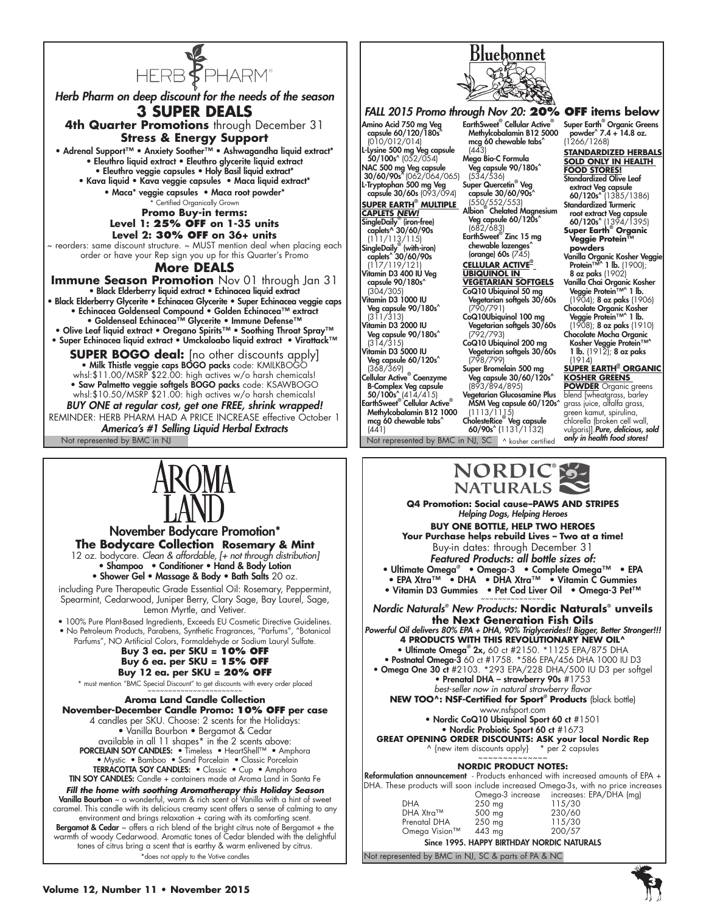

*Herb Pharm on deep discount for the needs of the season* **3 SUPER DEALS 4th Quarter Promotions** through December 31 **Stress & Energy Support** • Adrenal Support™ • Anxiety Soother™ • Ashwagandha liquid extract\* • Eleuthro liquid extract • Eleuthro glycerite liquid extract • Eleuthro veggie capsules • Holy Basil liquid extract\* • Kava liquid • Kava veggie capsules • Maca liquid extract\* • Maca\* veggie capsules • Maca root powder\* **Certified Organically Grown Promo Buy-in terms: Level 1: 25% OFF on 1-35 units Level 2: 30% OFF on 36+ units** ~ reorders: same discount structure. ~ MUST mention deal when placing each order or have your Rep sign you up for this Quarter's Promo **More DEALS Immune Season Promotion** Nov 01 through Jan 31 • Black Elderberry liquid extract • Echinacea liquid extract • Black Elderberry Glycerite • Echinacea Glycerite • Super Echinacea veggie caps • Echinacea Goldenseal Compound • Golden Echinacea™ extract • Goldenseal Echinacea™ Glycerite • Immune Defense™ • Olive Leaf liquid extract • Oregano Spirits™ • Soothing Throat Spray™ • Super Echinacea liquid extract • Umckaloabo liquid extract • Virattack™ **SUPER BOGO deal:** [no other discounts apply] · Milk Thistle veggie caps BOGO packs code: KMILKBOG whsl:\$11.00/MSRP \$22.00: high actives w/o harsh chemicals! • Saw Palmetto veggie softgels BOGO packs code: KSAWBO whsl:\$10.50/MSRP \$21.00: high actives w/o harsh chemicals! *BUY ONE at regular cost, get one FREE, shrink wrapped!*  REMINDER: HERB PHARM HAD A PRICE INCREASE effective October 1

Not represented by BMC in NJ Not represented by BMC in NJ, SC Nosher certified *America's #1 Selling Liquid Herbal Extracts*



November Bodycare Promotion\* **The Bodycare Collection Rosemary & Mint** 12 oz. bodycare. *Clean & affordable, [+ not through distribution]* • Shampoo • Conditioner • Hand & Body Lotion • Shower Gel • Massage & Body • Bath Salts 20 oz. including Pure Therapeutic Grade Essential Oil: Rosemary, Peppermint,

Spearmint, Cedarwood, Juniper Berry, Clary Sage, Bay Laurel, Sage, Lemon Myrtle, and Vetiver.

• 100% Pure Plant-Based Ingredients, Exceeds EU Cosmetic Directive Guidelines. • No Petroleum Products, Parabens, Synthetic Fragrances, "Parfums", "Botanical

Parfums", NO Artificial Colors, Formaldehyde or Sodium Lauryl Sulfate. **Buy 3 ea. per SKU = 10% OFF Buy 6 ea. per SKU = 15% OFF**

**Buy 12 ea. per SKU = 20% OFF** \* must mention "BMC Special Discount" to get discounts with every order placed .<br>~~~~~~~~~~~~~~~~~~~~~~~~~

**Aroma Land Candle Collection November-December Candle Promo: 10% OFF per case** 4 candles per SKU. Choose: 2 scents for the Holidays: • Vanilla Bourbon • Bergamot & Cedar available in all 11 shapes\* in the 2 scents above: PORCELAIN SOY CANDLES: • Timeless • HeartShell™ • Amphora • Mystic • Bamboo • Sand Porcelain • Classic Porcelain TERRACOTTA SOY CANDLES: • Classic • Cup • Amphora TIN SOY CANDLES: Candle + containers made at Aroma Land in Santa Fe

*Fill the home with soothing Aromatherapy this Holiday Season* **Vanilla Bourbon** ~ a wonderful, warm & rich scent of Vanilla with a hint of sweet caramel. This candle with its delicious creamy scent offers a sense of calming to any environment and brings relaxation + caring with its comforting scent. **Bergamot & Cedar**  $\sim$  offers a rich blend of the bright citrus note of Bergamot + the warmth of woody Cedarwood. Aromatic tones of Cedar blended with the delightful tones of citrus bring a scent that is earthy & warm enlivened by citrus. \*does not apply to the Votive candles



**Super Earth® Organic Kosher Greens POWDER** Organic greens blend [wheatgrass, barley grass juice, alfalfa grass, green kamut, spirulina, chlorella (broken cell wall, vulgaris)].*Pure, delicious, sold only in health food stores!*



**Q4 Promotion: Social cause–PAWS AND STRIPES**  *Helping Dogs, Helping Heroes*

**Veg capsule 30/60/120s^**<br>(893/894/895) Vegetarian Glucosamine Plus MSM Veg capsule 60/120s^ (1113/1115) CholesteRice® Veg capsule 60/90s^ (1131/1132)

B-Complex Veg capsule<br>50/100s^ (414/415)<br>EarthSweet® Cellular Active® Methylcobalamin B12 1000 mcg 60 chewable tabs^

 $(441)$ 

**BUY ONE BOTTLE, HELP TWO HEROES Your Purchase helps rebuild Lives – Two at a time!** Buy-in dates: through December 31 *Featured Products: all bottle sizes of:* • Ultimate Omega*®* • Omega-3 • Complete Omega™ • EPA • EPA Xtra™ • DHA • DHA Xtra™ • Vitamin C Gummies • Vitamin D3 Gummies • Pet Cod Liver Oil • Omega-3 Pet™

*Nordic Naturals® New Products:* **Nordic Naturals® unveils the Next Generation Fish Oils** *Powerful Oil delivers 80% EPA + DHA, 90% Triglycerides!! Bigger, Better Stronger!!!* **4 products with this revolutionary new oil^** • Ultimate Omega*®* 2x, 60 ct #2150. \*1125 EPA/875 DHA • Postnatal Omega-3 60 ct #1758. \*586 EPA/456 DHA 1000 IU D3 • Omega One 30 ct #2103. \*293 EPA/228 DHA/500 IU D3 per softgel • Prenatal DHA – strawberry 90s #1753 *best-seller now in natural strawberry flavor* **New too^: NSF-Certified for Sport***®*  **Products** (black bottle) www.nsfsport.com • Nordic CoQ10 Ubiquinol Sport 60 ct #1501 • Nordic Probiotic Sport 60 ct #1673 **GREAT OPENING ORDER DISCOUNTS: ASK your local Nordic Rep** ^ {new item discounts apply} \* per 2 capsules ~~~~~~~~~~~~~~ **NORDIC PRODUCT NOTES:** Reformulation announcement - Products enhanced with increased amounts of EPA + DHA. These products will soon include increased Omega-3s, with no price increases EPA/DHA (mg)

|               | Omega-3 increase                           | increases: EPA |
|---------------|--------------------------------------------|----------------|
| <b>DHA</b>    | 250 mg                                     | 115/30         |
| DHA Xtra™     | 500 mg                                     | 230/60         |
| Prenatal DHA  | 250 mg                                     | 115/30         |
| Omega Vision™ | 443 mg                                     | 200/57         |
|               | Since 1995. HAPPY BIRTHDAY NORDIC NATURALS |                |

Not represented by BMC in NJ, SC & parts of PA & NC

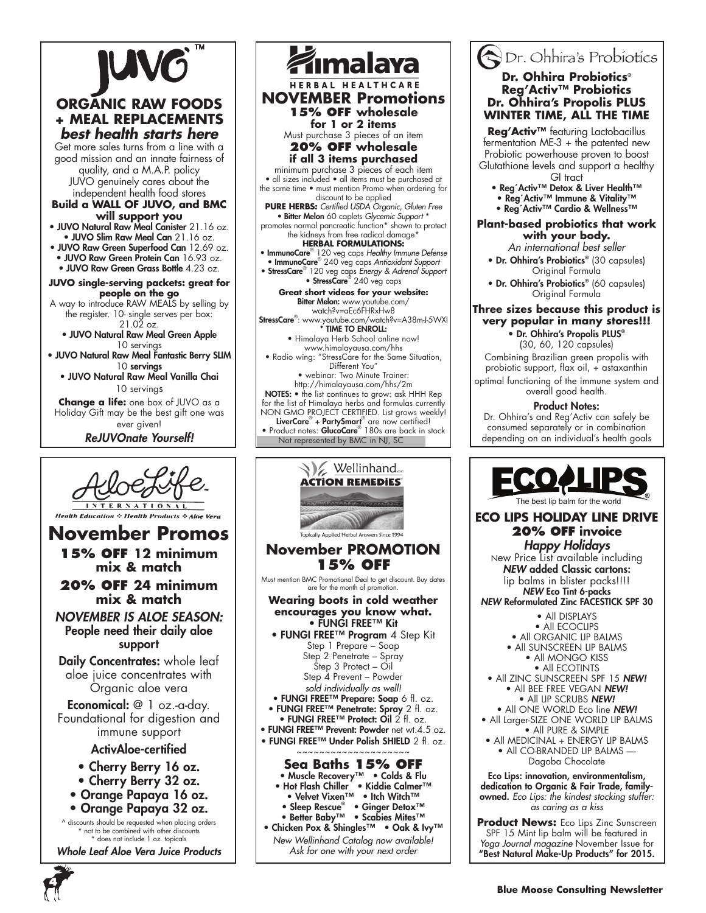

### **ORGANIC RAW FOODS + MEAL REPLACEMENTS** *best health starts here*

Get more sales turns from a line with a good mission and an innate fairness of quality, and a M.A.P. policy JUVO genuinely cares about the independent health food stores

**Build a WALL OF JUVO, and BMC will support you**

- JUVO Natural Raw Meal Canister 21.16 oz. • JUVO Slim Raw Meal Can 21.16 oz.
- JUVO Raw Green Superfood Can 12.69 oz. • JUVO Raw Green Protein Can 16.93 oz. • JUVO Raw Green Grass Bottle 4.23 oz.

**JUVO single-serving packets: great for people on the go** 

A way to introduce RAW MEALS by selling by the register. 10- single serves per box: 21.02 oz.

• JUVO Natural Raw Meal Green Apple 10 servings

• JUVO Natural Raw Meal Fantastic Berry SLIM 10 servings

• JUVO Natural Raw Meal Vanilla Chai 10 servings **Change a life:** one box of JUVO as a

Holiday Gift may be the best gift one was ever given!

*ReJUVOnate Yourself!*



*Whole Leaf Aloe Vera Juice Products*



Not represented by BMC in NJ, SC LiverCare<sup>®</sup> + PartySmart<sup>®</sup> are now certified!<br>• Product notes: GlucoCare<sup>®</sup> 180s are back in stock



### Dr. Ohhira's Probiotics **Dr. Ohhira Probiotics® Reg'Activ™ Probiotics Dr. Ohhira's Propolis PLUS WINTER TIME, ALL THE TIME**

**Reg'Activ™** featuring Lactobacillus fermentation ME-3 + the patented new Probiotic powerhouse proven to boost Glutathione levels and support a healthy

- GI tract • Reg´Activ™ Detox & Liver Health™
- Reg´Activ™ Immune & Vitality™ • Reg´Activ™ Cardio & Wellness™

### **Plant-based probiotics that work with your body.**

*An international best seller*

- Dr. Ohhira's Probiotics**®** (30 capsules) Original Formula
- Dr. Ohhira's Probiotics**®** (60 capsules) Original Formula

### **Three sizes because this product is very popular in many stores!!!**

• Dr. Ohhira's Propolis PLUS**®** (30, 60, 120 capsules)

Combining Brazilian green propolis with probiotic support, flax oil, + astaxanthin optimal functioning of the immune system and overall good health.

Product Notes:

Dr. Ohhira's and Reg'Activ can safely be consumed separately or in combination depending on an individual's health goals



**ECO LIPS HOLIDAY LINE DRIVE** The best lip balm for the world

### **20% OFF invoice**

*Happy Holidays*  New Price List available including *NEW* added Classic cartons: lip balms in blister packs!!!! *NEW* Eco Tint 6-packs

*NEW* Reformulated Zinc FACESTICK SPF 30

- All DISPLAYS • All ECOCLIPS
- All ORGANIC LIP BALMS
- All SUNSCREEN LIP BALMS • All MONGO KISS
- All ECOTINTS • All ZINC SUNSCREEN SPF 15 *NEW!*
	- All BEE FREE VEGAN *NEW!* • All LIP SCRUBS *NEW!*
- All ONE WORLD Eco line *NEW!*
- All Larger-SIZE ONE WORLD LIP BALMS • All PURE & SIMPLE
- All MEDICINAL + ENERGY LIP BALMS • All CO-BRANDED LIP BALMS — Dagoba Chocolate

Eco Lips: innovation, environmentalism, dedication to Organic & Fair Trade, familyowned. *Eco Lips: the kindest stocking stuffer: as caring as a kiss*

**Product News:** Eco Lips Zinc Sunscreen SPF 15 Mint lip balm will be featured in *Yoga Journal magazine* November Issue for "Best Natural Make-Up Products" for 2015.

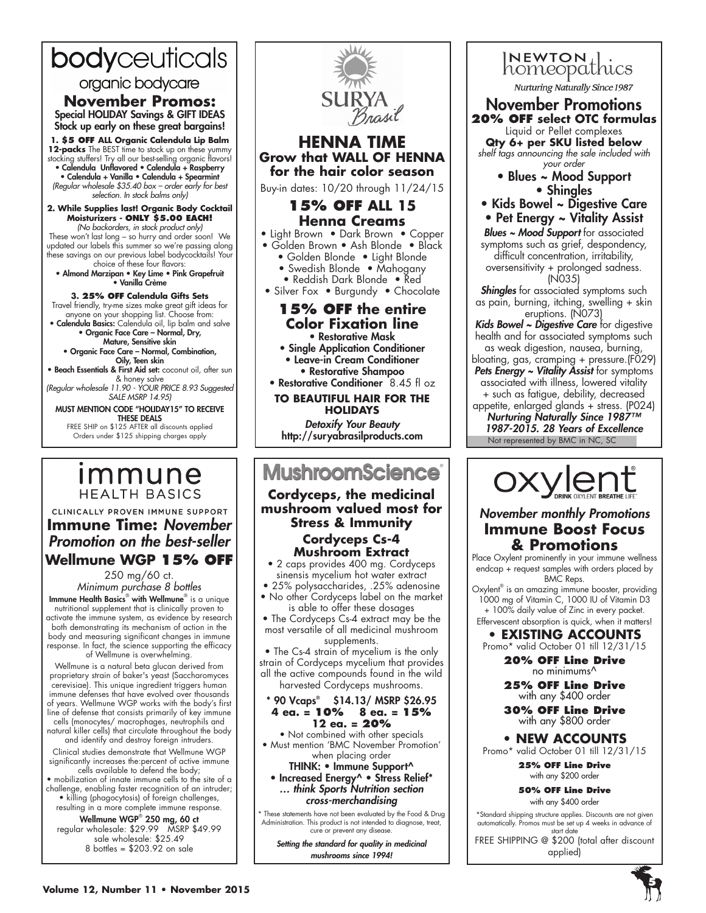# bodyceuticals

### organic bodycare

**November Promos:** Special HOLIDAY Savings & GIFT IDEAS Stock up early on these great bargains!

**1. \$5 off ALL Organic Calendula Lip Balm 12-packs** The BEST time to stock up on these yummy stocking stuffers! Try all our best-selling organic flavors! • Calendula Unflavored • Calendula + Raspberry • Calendula + Vanilla • Calendula + Spearmint *(Regular wholesale \$35.40 box – order early for best selection. In stock balms only)*

#### **2. While Supplies last! Organic Body Cocktail Moisturizers - Only \$5.00 each!** *(No backorders, in stock product only)*

These won't last long – so hurry and order soon! We updated our labels this summer so we're passing along these savings on our previous label bodycocktails! Your choice of these four flavors:

• Almond Marzipan • Key Lime • Pink Grapefruit • Vanilla Crème

**3. 25% off Calendula Gifts Sets** Travel friendly, try-me sizes make great gift ideas for anyone on your shopping list. Choose from: • Calendula Basics: Calendula oil, lip balm and salve

• Organic Face Care – Normal, Dry, Mature, Sensitive skin

- Organic Face Care Normal, Combination, Oily, Teen skin
- Beach Essentials & First Aid set: coconut oil, after sun

& honey salve *(Regular wholesale 11.90 - YOUR PRICE 8.93 Suggested SALE MSRP 14.95)*

MUST MENTION CODE "HOLIDAY15" TO RECEIVE THESE DEALS FREE SHIP on \$125 AFTER all discounts applied

Orders under \$125 shipping charges apply

### *Immune* **HEALTH BASICS**

### CLINICALLY PROVEN IMMUNE SUPPORT **Immune Time:** *November Promotion on the best-seller* **Wellmune WGP 15% OFF**

250 mg/60 ct. *Minimum purchase 8 bottles*

Immune Health Basics® with Wellmune® is a unique nutritional supplement that is clinically proven to activate the immune system, as evidence by research both demonstrating its mechanism of action in the body and measuring significant changes in immune response. In fact, the science supporting the efficacy of Wellmune is overwhelming.

Wellmune is a natural beta glucan derived from proprietary strain of baker's yeast (Saccharomyces cerevisiae). This unique ingredient triggers human immune defenses that have evolved over thousands of years. Wellmune WGP works with the body's first line of defense that consists primarily of key immune cells (monocytes/ macrophages, neutrophils and natural killer cells) that circulate throughout the body and identify and destroy foreign intruders.

Clinical studies demonstrate that Wellmune WGP significantly increases the:percent of active immune cells available to defend the body;

• mobilization of innate immune cells to the site of a challenge, enabling faster recognition of an intruder; • killing (phagocytosis) of foreign challenges, resulting in a more complete immune response.

#### Wellmune WGP® 250 mg, 60 ct regular wholesale: \$29.99 MSRP \$49.99 sale wholesale: \$25.49 8 bottles = \$203.92 on sale



- Reddish Dark Blonde Red
- Silver Fox Burgundy Chocolate

### **15% OFF the entire Color Fixation line** • Restorative Mask

- Single Application Conditioner • Leave-in Cream Conditioner • Restorative Shampoo
- Restorative Conditioner 8.45 fl oz

**TO BEAUTIFUL HAIR FOR THE HOLIDAYS** 

*Detoxify Your Beauty* http://suryabrasilproducts.com

# **MushroomScience**®

**Cordyceps, the medicinal mushroom valued most for Stress & Immunity Cordyceps Cs-4 Mushroom Extract**

• 2 caps provides 400 mg. Cordyceps sinensis mycelium hot water extract

• 25% polysaccharides, .25% adenosine • No other Cordyceps label on the market

is able to offer these dosages • The Cordyceps Cs-4 extract may be the most versatile of all medicinal mushroom supplements.

• The Cs-4 strain of mycelium is the only strain of Cordyceps mycelium that provides all the active compounds found in the wild harvested Cordyceps mushrooms.

#### \* 90 Vcaps® \$14.13/ MSRP \$26.95 **4 ea. = 10% 8 ea. = 15% 12 ea. = 20%**

• Not combined with other specials • Must mention 'BMC November Promotion'

when placing order THINK: • Immune Support^ • Increased Energy^ • Stress Relief\* *… think Sports Nutrition section cross-merchandising*

\* These statements have not been evaluated by the Food & Drug Administration. This product is not intended to diagnose, treat, cure or prevent any disease.

*Setting the standard for quality in medicinal mushrooms since 1994!*



*shelf tags announcing the sale included with your order*

- Blues ~ Mood Support • Shingles
- Kids Bowel ~ Digestive Care
- Pet Energy ~ Vitality Assist
- *Blues ~ Mood Support* for associated symptoms such as grief, despondency, difficult concentration, irritability, oversensitivity + prolonged sadness. (N035)

**Shingles** for associated symptoms such as pain, burning, itching, swelling + skin eruptions. (N073)

- *Kids Bowel ~ Digestive Care* for digestive health and for associated symptoms such as weak digestion, nausea, burning,
- bloating, gas, cramping + pressure.(F029)
- *Pets Energy ~ Vitality Assist* for symptoms associated with illness, lowered vitality + such as fatigue, debility, decreased
- Not represented by BMC in NC, SC appetite, enlarged glands + stress. (P024) *Nurturing Naturally Since 1987™ 1987-2015. 28 Years of Excellence*

OXY ent

### *November monthly Promotions* **Immune Boost Focus & Promotions**

Place Oxylent prominently in your immune wellness endcap + request samples with orders placed by BMC Reps.

Oxylent<sup>®</sup> is an amazing immune booster, providing 1000 mg of Vitamin C, 1000 IU of Vitamin D3 + 100% daily value of Zinc in every packet. Effervescent absorption is quick, when it matters!

**• EXISTING ACCOUNTS** Promo\* valid October 01 till 12/31/15

**20% OFF Line Drive** 

no minimums^

**25% OFF Line Drive**  with any \$400 order

**30% OFF Line Drive**  with any \$800 order

**• NEW ACCOUNTS** Promo\* valid October 01 till 12/31/15

**25% OFF Line Drive** with any \$200 order

**50% OFF Line Drive**

with any \$400 order \*Standard shipping structure applies. Discounts are not given

automatically. Promos must be set up 4 weeks in advance of start date

FREE SHIPPING @ \$200 (total after discount applied)

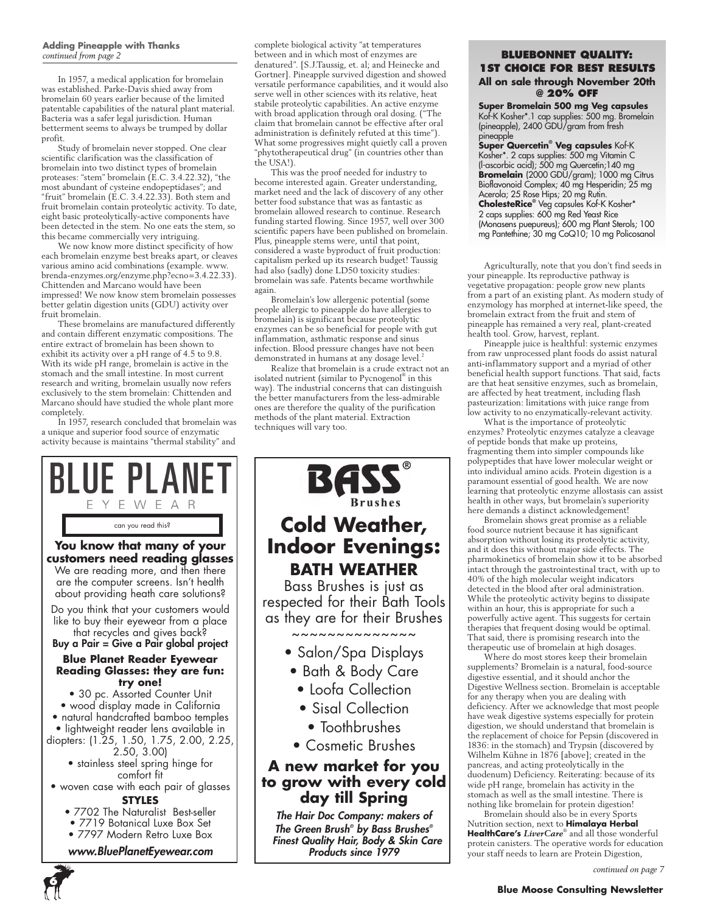### **Adding Pineapple with Thanks** *continued from page 2*

In 1957, a medical application for bromelain was established. Parke-Davis shied away from bromelain 60 years earlier because of the limited patentable capabilities of the natural plant material. Bacteria was a safer legal jurisdiction. Human betterment seems to always be trumped by dollar profit.

Study of bromelain never stopped. One clear scientific clarification was the classification of bromelain into two distinct types of bromelain proteases: "stem" bromelain (E.C. 3.4.22.32), "the most abundant of cysteine endopeptidases"; and "fruit" bromelain (E.C. 3.4.22.33). Both stem and fruit bromelain contain proteolytic activity. To date, eight basic proteolytically-active components have been detected in the stem. No one eats the stem, so this became commercially very intriguing.

We now know more distinct specificity of how each bromelain enzyme best breaks apart, or cleaves various amino acid combinations (example. www. brenda-enzymes.org/enzyme.php?ecno=3.4.22.33). Chittenden and Marcano would have been impressed! We now know stem bromelain possesses better gelatin digestion units (GDU) activity over fruit bromelain.

These bromelains are manufactured differently and contain different enzymatic compositions. The entire extract of bromelain has been shown to exhibit its activity over a pH range of 4.5 to 9.8. With its wide pH range, bromelain is active in the stomach and the small intestine. In most current research and writing, bromelain usually now refers exclusively to the stem bromelain: Chittenden and Marcano should have studied the whole plant more completely.

In 1957, research concluded that bromelain was a unique and superior food source of enzymatic activity because is maintains "thermal stability" and



complete biological activity "at temperatures between and in which most of enzymes are denatured". [S.J.Taussig, et. al; and Heinecke and Gortner]. Pineapple survived digestion and showed versatile performance capabilities, and it would also serve well in other sciences with its relative, heat stabile proteolytic capabilities. An active enzyme with broad application through oral dosing. ("The claim that bromelain cannot be effective after oral administration is definitely refuted at this time"). What some progressives might quietly call a proven "phytotherapeutical drug" (in countries other than the USA!).

This was the proof needed for industry to become interested again. Greater understanding, market need and the lack of discovery of any other better food substance that was as fantastic as bromelain allowed research to continue. Research funding started flowing. Since 1957, well over 300 scientific papers have been published on bromelain. Plus, pineapple stems were, until that point, considered a waste byproduct of fruit production: capitalism perked up its research budget! Taussig had also (sadly) done LD50 toxicity studies: bromelain was safe. Patents became worthwhile again.

Bromelain's low allergenic potential (some people allergic to pineapple do have allergies to bromelain) is significant because proteolytic enzymes can be so beneficial for people with gut inflammation, asthmatic response and sinus infection. Blood pressure changes have not been demonstrated in humans at any dosage level.

Realize that bromelain is a crude extract not an isolated nutrient (similar to Pycnogenol® in this way). The industrial concerns that can distinguish the better manufacturers from the less-admirable ones are therefore the quality of the purification methods of the plant material. Extraction techniques will vary too.



*The Green Brush® by Bass Brushes® Finest Quality Hair, Body & Skin Care Products since 1979*

### **Bluebonnet Quality: 1st choice for Best Results All on sale through November 20th @ 20% OFF**

**Super Bromelain 500 mg Veg capsules** Kof-K Kosher\*.1 cap supplies: 500 mg. Bromelain (pineapple), 2400 GDU/gram from fresh pineapple

**Super Quercetin® Veg capsules** Kof-K Kosher\*. 2 caps supplies: 500 mg Vitamin C (l-ascorbic acid); 500 mg Quercetin;140 mg **Bromelain** (2000 GDU/gram); 1000 mg Citrus Bioflavonoid Complex; 40 mg Hesperidin; 25 mg Acerola; 25 Rose Hips; 20 mg Rutin. **CholesteRice®** Veg capsules Kof-K Kosher\* 2 caps supplies: 600 mg Red Yeast Rice (Monasens puepureus); 600 mg Plant Sterols; 100 mg Pantethine; 30 mg CoQ10; 10 mg Policosanol

Agriculturally, note that you don't find seeds in your pineapple. Its reproductive pathway is vegetative propagation: people grow new plants from a part of an existing plant. As modern study of enzymology has morphed at internet-like speed, the bromelain extract from the fruit and stem of pineapple has remained a very real, plant-created health tool. Grow, harvest, replant.

Pineapple juice is healthful: systemic enzymes from raw unprocessed plant foods do assist natural anti-inflammatory support and a myriad of other beneficial health support functions. That said, facts are that heat sensitive enzymes, such as bromelain, are affected by heat treatment, including flash pasteurization: limitations with juice range from low activity to no enzymatically-relevant activity.

What is the importance of proteolytic enzymes? Proteolytic enzymes catalyze a cleavage of peptide bonds that make up proteins, fragmenting them into simpler compounds like polypeptides that have lower molecular weight or into individual amino acids. Protein digestion is a paramount essential of good health. We are now learning that proteolytic enzyme allostasis can assist health in other ways, but bromelain's superiority here demands a distinct acknowledgement!

Bromelain shows great promise as a reliable food source nutrient because it has significant absorption without losing its proteolytic activity, and it does this without major side effects. The pharmokinetics of bromelain show it to be absorbed intact through the gastrointestinal tract, with up to 40% of the high molecular weight indicators detected in the blood after oral administration. While the proteolytic activity begins to dissipate within an hour, this is appropriate for such a powerfully active agent. This suggests for certain therapies that frequent dosing would be optimal. That said, there is promising research into the therapeutic use of bromelain at high dosages.

Where do most stores keep their bromelain supplements? Bromelain is a natural, food-source digestive essential, and it should anchor the Digestive Wellness section. Bromelain is acceptable for any therapy when you are dealing with deficiency. After we acknowledge that most people have weak digestive systems especially for protein digestion, we should understand that bromelain is the replacement of choice for Pepsin (discovered in 1836: in the stomach) and Trypsin (discovered by Wilhelm Kühne in 1876 [above]; created in the pancreas, and acting proteolytically in the duodenum) Deficiency. Reiterating: because of its wide pH range, bromelain has activity in the stomach as well as the small intestine. There is nothing like bromelain for protein digestion!

Bromelain should also be in every Sports Nutrition section, next to **Himalaya Herbal HealthCare's** *LiverCare*® and all those wonderful protein canisters. The operative words for education your staff needs to learn are Protein Digestion,

*continued on page 7*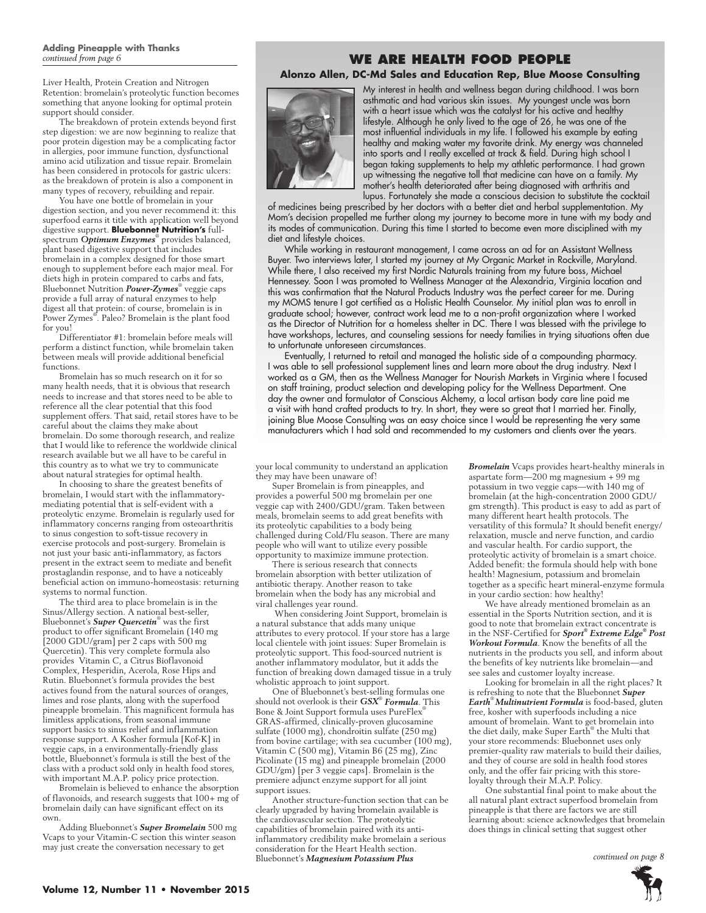### **Adding Pineapple with Thanks**  *continued from page 6*

Liver Health, Protein Creation and Nitrogen Retention: bromelain's proteolytic function becomes something that anyone looking for optimal protein support should consider.

The breakdown of protein extends beyond first step digestion: we are now beginning to realize that poor protein digestion may be a complicating factor in allergies, poor immune function, dysfunctional amino acid utilization and tissue repair. Bromelain has been considered in protocols for gastric ulcers: as the breakdown of protein is also a component in many types of recovery, rebuilding and repair.

You have one bottle of bromelain in your digestion section, and you never recommend it: this superfood earns it title with application well beyond digestive support. **Bluebonnet Nutrition's** fullspectrum *Optimum Enzymes*® provides balanced, plant based digestive support that includes bromelain in a complex designed for those smart enough to supplement before each major meal. For diets high in protein compared to carbs and fats, Bluebonnet Nutrition *Power-Zymes*® veggie caps provide a full array of natural enzymes to help digest all that protein: of course, bromelain is in Power Zymes® . Paleo? Bromelain is the plant food for you!

Differentiator #1: bromelain before meals will perform a distinct function, while bromelain taken between meals will provide additional beneficial functions.

Bromelain has so much research on it for so many health needs, that it is obvious that research needs to increase and that stores need to be able to reference all the clear potential that this food supplement offers. That said, retail stores have to be careful about the claims they make about bromelain. Do some thorough research, and realize that I would like to reference the worldwide clinical research available but we all have to be careful in this country as to what we try to communicate about natural strategies for optimal health.

In choosing to share the greatest benefits of bromelain, I would start with the inflammatorymediating potential that is self-evident with a proteolytic enzyme. Bromelain is regularly used for inflammatory concerns ranging from osteoarthritis to sinus congestion to soft-tissue recovery in exercise protocols and post-surgery. Bromelain is not just your basic anti-inflammatory, as factors present in the extract seem to mediate and benefit prostaglandin response, and to have a noticeably beneficial action on immuno-homeostasis: returning systems to normal function.

The third area to place bromelain is in the Sinus/Allergy section. A national best-seller, Bluebonnet's *Super Quercetin*® was the first product to offer significant Bromelain (140 mg [2000 GDU/gram] per 2 caps with 500 mg Quercetin). This very complete formula also provides Vitamin C, a Citrus Bioflavonoid Complex, Hesperidin, Acerola, Rose Hips and Rutin. Bluebonnet's formula provides the best actives found from the natural sources of oranges, limes and rose plants, along with the superfood pineapple bromelain. This magnificent formula has limitless applications, from seasonal immune support basics to sinus relief and inflammation response support. A Kosher formula [Kof-K] in veggie caps, in a environmentally-friendly glass bottle, Bluebonnet's formula is still the best of the class with a product sold only in health food stores, with important M.A.P. policy price protection.

Bromelain is believed to enhance the absorption of flavonoids, and research suggests that 100+ mg of bromelain daily can have significant effect on its own.

Adding Bluebonnet's *Super Bromelain* 500 mg Vcaps to your Vitamin-C section this winter season may just create the conversation necessary to get

### **We Are Health Food People**

### **Alonzo Allen, DC-Md Sales and Education Rep, Blue Moose Consulting**



My interest in health and wellness began during childhood. I was born asthmatic and had various skin issues. My youngest uncle was born with a heart issue which was the catalyst for his active and healthy lifestyle. Although he only lived to the age of 26, he was one of the most influential individuals in my life. I followed his example by eating healthy and making water my favorite drink. My energy was channeled into sports and I really excelled at track & field. During high school I began taking supplements to help my athletic performance. I had grown up witnessing the negative toll that medicine can have on a family. My mother's health deteriorated after being diagnosed with arthritis and lupus. Fortunately she made a conscious decision to substitute the cocktail

of medicines being prescribed by her doctors with a better diet and herbal supplementation. My Mom's decision propelled me further along my journey to become more in tune with my body and its modes of communication. During this time I started to become even more disciplined with my diet and lifestyle choices.

While working in restaurant management, I came across an ad for an Assistant Wellness Buyer. Two interviews later, I started my journey at My Organic Market in Rockville, Maryland. While there, I also received my first Nordic Naturals training from my future boss, Michael Hennessey. Soon I was promoted to Wellness Manager at the Alexandria, Virginia location and this was confirmation that the Natural Products Industry was the perfect career for me. During my MOMS tenure I got certified as a Holistic Health Counselor. My initial plan was to enroll in graduate school; however, contract work lead me to a non-profit organization where I worked as the Director of Nutrition for a homeless shelter in DC. There I was blessed with the privilege to have workshops, lectures, and counseling sessions for needy families in trying situations often due to unfortunate unforeseen circumstances.

Eventually, I returned to retail and managed the holistic side of a compounding pharmacy. I was able to sell professional supplement lines and learn more about the drug industry. Next I worked as a GM, then as the Wellness Manager for Nourish Markets in Virginia where I focused on staff training, product selection and developing policy for the Wellness Department. One day the owner and formulator of Conscious Alchemy, a local artisan body care line paid me a visit with hand crafted products to try. In short, they were so great that I married her. Finally, joining Blue Moose Consulting was an easy choice since I would be representing the very same manufacturers which I had sold and recommended to my customers and clients over the years.

your local community to understand an application they may have been unaware of!

Super Bromelain is from pineapples, and provides a powerful 500 mg bromelain per one veggie cap with 2400/GDU/gram. Taken between meals, bromelain seems to add great benefits with its proteolytic capabilities to a body being challenged during Cold/Flu season. There are many people who will want to utilize every possible opportunity to maximize immune protection.

There is serious research that connects bromelain absorption with better utilization of antibiotic therapy. Another reason to take bromelain when the body has any microbial and viral challenges year round.

 When considering Joint Support, bromelain is a natural substance that adds many unique attributes to every protocol. If your store has a large local clientele with joint issues: Super Bromelain is proteolytic support. This food-sourced nutrient is another inflammatory modulator, but it adds the function of breaking down damaged tissue in a truly wholistic approach to joint support.

One of Bluebonnet's best-selling formulas one should not overlook is their *GSX*®  *Formula*. This Bone & Joint Support formula uses PureFlex® GRAS-affirmed, clinically-proven glucosamine sulfate (1000 mg), chondroitin sulfate (250 mg) from bovine cartilage; with sea cucumber (100 mg), Vitamin C (500 mg), Vitamin B6 (25 mg), Zinc Picolinate (15 mg) and pineapple bromelain (2000 GDU/gm) [per 3 veggie caps]. Bromelain is the premiere adjunct enzyme support for all joint support issues.

Another structure-function section that can be clearly upgraded by having bromelain available is the cardiovascular section. The proteolytic capabilities of bromelain paired with its antiinflammatory credibility make bromelain a serious consideration for the Heart Health section. Bluebonnet's *Magnesium Potassium Plus* 

*Bromelain* Vcaps provides heart-healthy minerals in aspartate form—200 mg magnesium + 99 mg potassium in two veggie caps—with 140 mg of bromelain (at the high-concentration 2000 GDU/ gm strength). This product is easy to add as part of many different heart health protocols. The versatility of this formula? It should benefit energy/ relaxation, muscle and nerve function, and cardio and vascular health. For cardio support, the proteolytic activity of bromelain is a smart choice. Added benefit: the formula should help with bone health! Magnesium, potassium and bromelain together as a specific heart mineral-enzyme formula in your cardio section: how healthy!

We have already mentioned bromelain as an essential in the Sports Nutrition section, and it is good to note that bromelain extract concentrate is in the NSF-Certified for *Sport® Extreme Edge® Post Workout Formula*. Know the benefits of all the nutrients in the products you sell, and inform about the benefits of key nutrients like bromelain—and see sales and customer loyalty increase.

Looking for bromelain in all the right places? It is refreshing to note that the Bluebonnet *Super Earth*® *Multinutrient Formula* is food-based, gluten free, kosher with superfoods including a nice amount of bromelain. Want to get bromelain into the diet daily, make Super Earth® the Multi that your store recommends: Bluebonnet uses only premier-quality raw materials to build their dailies, and they of course are sold in health food stores only, and the offer fair pricing with this storeloyalty through their M.A.P. Policy.

One substantial final point to make about the all natural plant extract superfood bromelain from pineapple is that there are factors we are still learning about: science acknowledges that bromelain does things in clinical setting that suggest other

*continued on page 8*